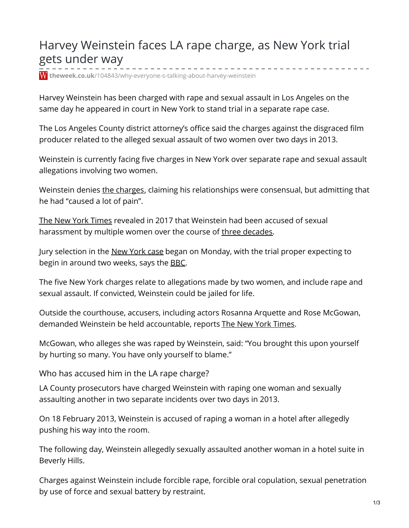## Harvey Weinstein faces LA rape charge, as New York trial gets under way

**theweek.co.uk**[/104843/why-everyone-s-talking-about-harvey-weinstein](https://www.theweek.co.uk/104843/why-everyone-s-talking-about-harvey-weinstein)

Harvey Weinstein has been charged with rape and sexual assault in Los Angeles on the same day he appeared in court in New York to stand trial in a separate rape case.

The Los Angeles County district attorney's office said the charges against the disgraced film producer related to the alleged sexual assault of two women over two days in 2013.

Weinstein is currently facing five charges in New York over separate rape and sexual assault allegations involving two women.

Weinstein denies the [charges](https://www.theweek.co.uk/103802/new-book-reveals-weinstein-s-brutal-tactics-to-bury-scandal), claiming his relationships were consensual, but admitting that he had "caused a lot of pain".

The New York [Times](https://www.nytimes.com/2017/10/05/us/harvey-weinstein-harassment-allegations.html ) revealed in 2017 that Weinstein had been accused of sexual harassment by multiple women over the course of three [decades](https://www.theweek.co.uk/88934/harvey-weinstein-who-has-accused-him-of-harassment ).

Jury selection in the New [York](https://www.theweek.co.uk/harvey-weinstein/93859/harvey-weinstein-rape-allegations-metoo) case began on Monday, with the trial proper expecting to begin in around two weeks, says the [BBC](https://www.bbc.co.uk/news/world-us-canada-51013974 ).

The five New York charges relate to allegations made by two women, and include rape and sexual assault. If convicted, Weinstein could be jailed for life.

Outside the courthouse, accusers, including actors Rosanna Arquette and Rose McGowan, demanded Weinstein be held accountable, reports The New York [Times](https://www.nytimes.com/2020/01/06/nyregion/harvey-weinstein-trial.html).

McGowan, who alleges she was raped by Weinstein, said: "You brought this upon yourself by hurting so many. You have only yourself to blame."

Who has accused him in the LA rape charge?

LA County prosecutors have charged Weinstein with raping one woman and sexually assaulting another in two separate incidents over two days in 2013.

On 18 February 2013, Weinstein is accused of raping a woman in a hotel after allegedly pushing his way into the room.

The following day, Weinstein allegedly sexually assaulted another woman in a hotel suite in Beverly Hills.

Charges against Weinstein include forcible rape, forcible oral copulation, sexual penetration by use of force and sexual battery by restraint.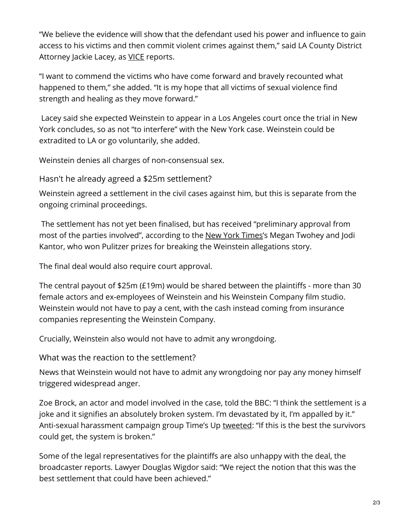"We believe the evidence will show that the defendant used his power and influence to gain access to his victims and then commit violent crimes against them," said LA County District Attorney Jackie Lacey, as [VICE](https://www.vice.com/en_us/article/v74mky/harvey-weinstein-just-got-charged-with-assaulting-2-women-in-2-days) reports.

"I want to commend the victims who have come forward and bravely recounted what happened to them," she added. "It is my hope that all victims of sexual violence find strength and healing as they move forward."

Lacey said she expected Weinstein to appear in a Los Angeles court once the trial in New York concludes, so as not "to interfere" with the New York case. Weinstein could be extradited to LA or go voluntarily, she added.

Weinstein denies all charges of non-consensual sex.

Hasn't he already agreed a \$25m settlement?

Weinstein agreed a settlement in the civil cases against him, but this is separate from the ongoing criminal proceedings.

The settlement has not yet been finalised, but has received "preliminary approval from most of the parties involved", according to the New York [Times](https://www.nytimes.com/2019/12/11/us/harvey-weinstein-settlement.html )'s Megan Twohey and Jodi Kantor, who won Pulitzer prizes for breaking the Weinstein allegations story.

The final deal would also require court approval.

The central payout of \$25m (£19m) would be shared between the plaintiffs - more than 30 female actors and ex-employees of Weinstein and his Weinstein Company film studio. Weinstein would not have to pay a cent, with the cash instead coming from insurance companies representing the Weinstein Company.

Crucially, Weinstein also would not have to admit any wrongdoing.

What was the reaction to the settlement?

News that Weinstein would not have to admit any wrongdoing nor pay any money himself triggered widespread anger.

Zoe Brock, an actor and model involved in the case, told the BBC: "I think the settlement is a joke and it signifies an absolutely broken system. I'm devastated by it, I'm appalled by it." Anti-sexual harassment campaign group Time's Up [tweeted](https://twitter.com/TIMESUPNOW/status/1204856443360276480 ): "If this is the best the survivors could get, the system is broken."

Some of the legal representatives for the plaintiffs are also unhappy with the deal, the broadcaster reports. Lawyer Douglas Wigdor said: "We reject the notion that this was the best settlement that could have been achieved."